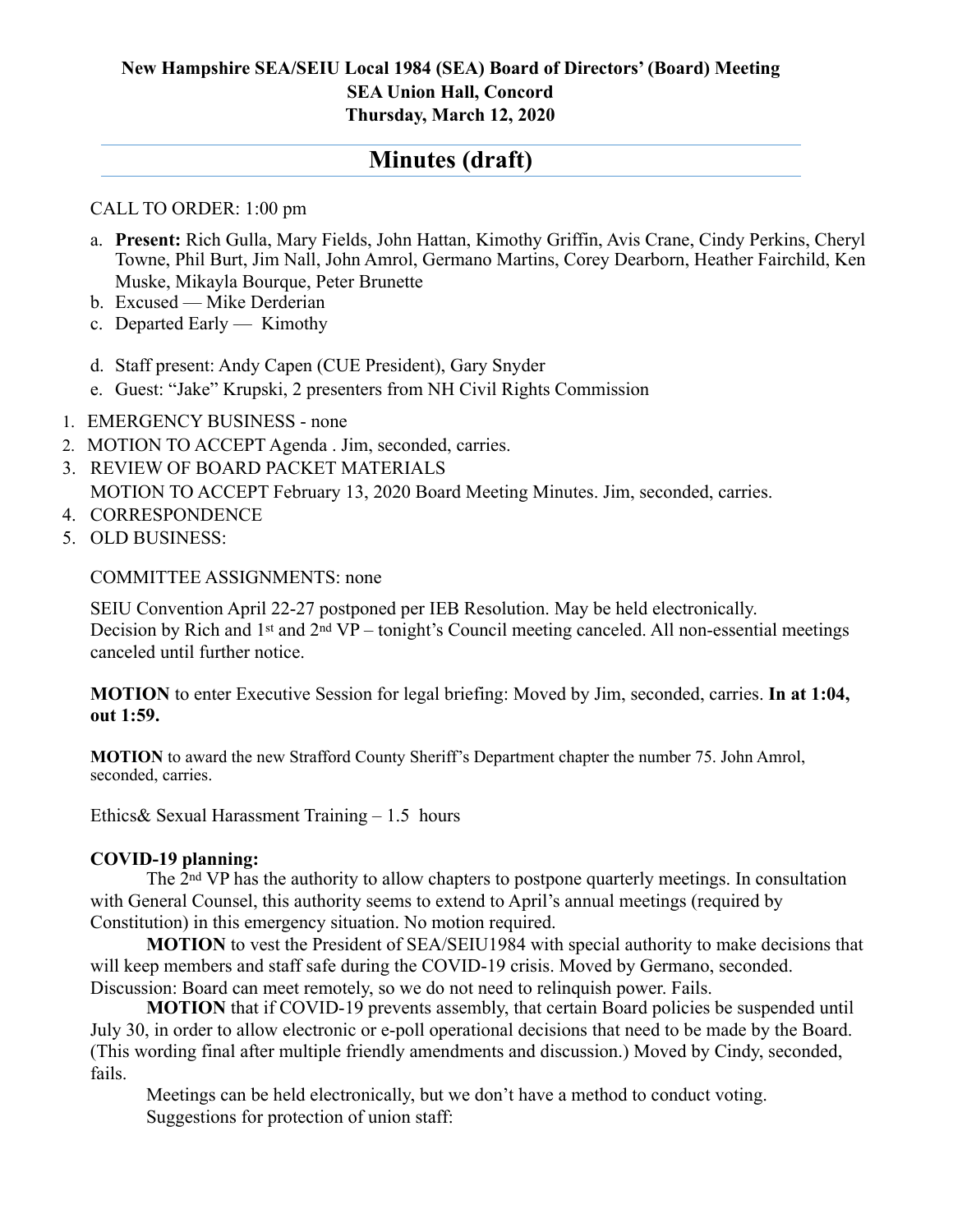## **New Hampshire SEA/SEIU Local 1984 (SEA) Board of Directors' (Board) Meeting SEA Union Hall, Concord Thursday, March 12, 2020**

# **Minutes (draft)**

## CALL TO ORDER: 1:00 pm

- a. **Present:** Rich Gulla, Mary Fields, John Hattan, Kimothy Griffin, Avis Crane, Cindy Perkins, Cheryl Towne, Phil Burt, Jim Nall, John Amrol, Germano Martins, Corey Dearborn, Heather Fairchild, Ken Muske, Mikayla Bourque, Peter Brunette
- b. Excused Mike Derderian
- c. Departed Early Kimothy
- d. Staff present: Andy Capen (CUE President), Gary Snyder
- e. Guest: "Jake" Krupski, 2 presenters from NH Civil Rights Commission
- 1. EMERGENCY BUSINESS none
- 2. MOTION TO ACCEPT Agenda . Jim, seconded, carries.
- 3. REVIEW OF BOARD PACKET MATERIALS MOTION TO ACCEPT February 13, 2020 Board Meeting Minutes. Jim, seconded, carries.
- 4. CORRESPONDENCE
- 5. OLD BUSINESS:

#### COMMITTEE ASSIGNMENTS: none

SEIU Convention April 22-27 postponed per IEB Resolution. May be held electronically. Decision by Rich and 1st and 2nd VP – tonight's Council meeting canceled. All non-essential meetings canceled until further notice.

**MOTION** to enter Executive Session for legal briefing: Moved by Jim, seconded, carries. **In at 1:04, out 1:59.**

**MOTION** to award the new Strafford County Sheriff's Department chapter the number 75. John Amrol, seconded, carries.

Ethics& Sexual Harassment Training – 1.5 hours

#### **COVID-19 planning:**

 The 2nd VP has the authority to allow chapters to postpone quarterly meetings. In consultation with General Counsel, this authority seems to extend to April's annual meetings (required by Constitution) in this emergency situation. No motion required.

**MOTION** to vest the President of SEA/SEIU1984 with special authority to make decisions that will keep members and staff safe during the COVID-19 crisis. Moved by Germano, seconded. Discussion: Board can meet remotely, so we do not need to relinquish power. Fails.

**MOTION** that if COVID-19 prevents assembly, that certain Board policies be suspended until July 30, in order to allow electronic or e-poll operational decisions that need to be made by the Board. (This wording final after multiple friendly amendments and discussion.) Moved by Cindy, seconded, fails.

 Meetings can be held electronically, but we don't have a method to conduct voting. Suggestions for protection of union staff: